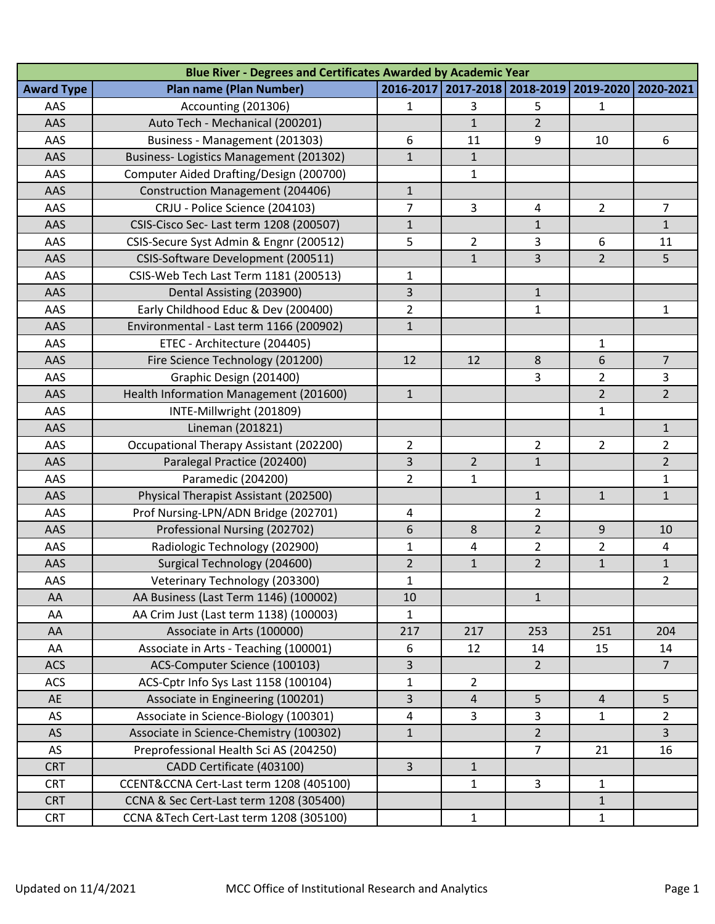| Blue River - Degrees and Certificates Awarded by Academic Year |                                         |                |                       |                |                |                |  |  |  |  |
|----------------------------------------------------------------|-----------------------------------------|----------------|-----------------------|----------------|----------------|----------------|--|--|--|--|
| <b>Award Type</b>                                              | <b>Plan name (Plan Number)</b>          | 2016-2017      | 2017-2018   2018-2019 |                | 2019-2020      | 2020-2021      |  |  |  |  |
| AAS                                                            | Accounting (201306)                     | 1              | 3                     | 5              | 1              |                |  |  |  |  |
| AAS                                                            | Auto Tech - Mechanical (200201)         |                | $\mathbf{1}$          | $\overline{2}$ |                |                |  |  |  |  |
| AAS                                                            | Business - Management (201303)          | 6              | 11                    | 9              | 10             | 6              |  |  |  |  |
| AAS                                                            | Business-Logistics Management (201302)  | $\mathbf{1}$   | $\mathbf{1}$          |                |                |                |  |  |  |  |
| AAS                                                            | Computer Aided Drafting/Design (200700) |                | $\mathbf{1}$          |                |                |                |  |  |  |  |
| AAS                                                            | Construction Management (204406)        | $\mathbf{1}$   |                       |                |                |                |  |  |  |  |
| AAS                                                            | CRJU - Police Science (204103)          | $\overline{7}$ | 3                     | 4              | $\overline{2}$ | $\overline{7}$ |  |  |  |  |
| AAS                                                            | CSIS-Cisco Sec- Last term 1208 (200507) | $\mathbf{1}$   |                       | $\mathbf{1}$   |                | $\mathbf{1}$   |  |  |  |  |
| AAS                                                            | CSIS-Secure Syst Admin & Engnr (200512) | 5              | $\overline{2}$        | 3              | 6              | 11             |  |  |  |  |
| AAS                                                            | CSIS-Software Development (200511)      |                | $\mathbf{1}$          | 3              | $\overline{2}$ | 5              |  |  |  |  |
| AAS                                                            | CSIS-Web Tech Last Term 1181 (200513)   | $\mathbf 1$    |                       |                |                |                |  |  |  |  |
| AAS                                                            | Dental Assisting (203900)               | 3              |                       | $\mathbf{1}$   |                |                |  |  |  |  |
| AAS                                                            | Early Childhood Educ & Dev (200400)     | $\overline{2}$ |                       | $\mathbf{1}$   |                | 1              |  |  |  |  |
| AAS                                                            | Environmental - Last term 1166 (200902) | $\mathbf{1}$   |                       |                |                |                |  |  |  |  |
| AAS                                                            | ETEC - Architecture (204405)            |                |                       |                | 1              |                |  |  |  |  |
| AAS                                                            | Fire Science Technology (201200)        | 12             | 12                    | 8              | 6              | $\overline{7}$ |  |  |  |  |
| AAS                                                            | Graphic Design (201400)                 |                |                       | 3              | $\overline{2}$ | 3              |  |  |  |  |
| AAS                                                            | Health Information Management (201600)  | $\mathbf{1}$   |                       |                | $\overline{2}$ | $\overline{2}$ |  |  |  |  |
| AAS                                                            | INTE-Millwright (201809)                |                |                       |                | 1              |                |  |  |  |  |
| AAS                                                            | Lineman (201821)                        |                |                       |                |                | $\mathbf{1}$   |  |  |  |  |
| AAS                                                            | Occupational Therapy Assistant (202200) | $\overline{2}$ |                       | $\overline{2}$ | $\overline{2}$ | $\overline{2}$ |  |  |  |  |
| AAS                                                            | Paralegal Practice (202400)             | 3              | $\overline{2}$        | $\mathbf{1}$   |                | $\overline{2}$ |  |  |  |  |
| AAS                                                            | Paramedic (204200)                      | $\overline{2}$ | 1                     |                |                | 1              |  |  |  |  |
| AAS                                                            | Physical Therapist Assistant (202500)   |                |                       | $\mathbf{1}$   | $\mathbf{1}$   | $\mathbf{1}$   |  |  |  |  |
| AAS                                                            | Prof Nursing-LPN/ADN Bridge (202701)    | 4              |                       | $\overline{2}$ |                |                |  |  |  |  |
| AAS                                                            | Professional Nursing (202702)           | 6              | 8                     | $\overline{2}$ | 9              | 10             |  |  |  |  |
| AAS                                                            | Radiologic Technology (202900)          | $\mathbf{1}$   | 4                     | $\overline{2}$ | $\overline{2}$ | 4              |  |  |  |  |
| AAS                                                            | Surgical Technology (204600)            | $\overline{2}$ | $\mathbf{1}$          | $\overline{2}$ | $\mathbf{1}$   | $\mathbf{1}$   |  |  |  |  |
| AAS                                                            | Veterinary Technology (203300)          | $\mathbf{1}$   |                       |                |                | $\overline{2}$ |  |  |  |  |
| AA                                                             | AA Business (Last Term 1146) (100002)   | 10             |                       | $\mathbf{1}$   |                |                |  |  |  |  |
| AA                                                             | AA Crim Just (Last term 1138) (100003)  | $\mathbf{1}$   |                       |                |                |                |  |  |  |  |
| AA                                                             | Associate in Arts (100000)              | 217            | 217                   | 253            | 251            | 204            |  |  |  |  |
| AA                                                             | Associate in Arts - Teaching (100001)   | 6              | 12                    | 14             | 15             | 14             |  |  |  |  |
| <b>ACS</b>                                                     | ACS-Computer Science (100103)           | 3              |                       | $\overline{2}$ |                | $\overline{7}$ |  |  |  |  |
| <b>ACS</b>                                                     | ACS-Cptr Info Sys Last 1158 (100104)    | $\mathbf{1}$   | $\overline{2}$        |                |                |                |  |  |  |  |
| AE                                                             | Associate in Engineering (100201)       | 3              | 4                     | 5              | $\overline{4}$ | 5              |  |  |  |  |
| AS                                                             | Associate in Science-Biology (100301)   | $\overline{a}$ | 3                     | 3              | $\mathbf{1}$   | $\overline{2}$ |  |  |  |  |
| <b>AS</b>                                                      | Associate in Science-Chemistry (100302) | $\mathbf{1}$   |                       | $\overline{2}$ |                | 3              |  |  |  |  |
| AS                                                             | Preprofessional Health Sci AS (204250)  |                |                       | 7              | 21             | 16             |  |  |  |  |
| <b>CRT</b>                                                     | CADD Certificate (403100)               | $\overline{3}$ | $\mathbf{1}$          |                |                |                |  |  |  |  |
| <b>CRT</b>                                                     | CCENT&CCNA Cert-Last term 1208 (405100) |                | $\mathbf{1}$          | $\overline{3}$ | 1              |                |  |  |  |  |
| <b>CRT</b>                                                     | CCNA & Sec Cert-Last term 1208 (305400) |                |                       |                | $\mathbf{1}$   |                |  |  |  |  |
| <b>CRT</b>                                                     | CCNA &Tech Cert-Last term 1208 (305100) |                | $\mathbf{1}$          |                | $\mathbf{1}$   |                |  |  |  |  |